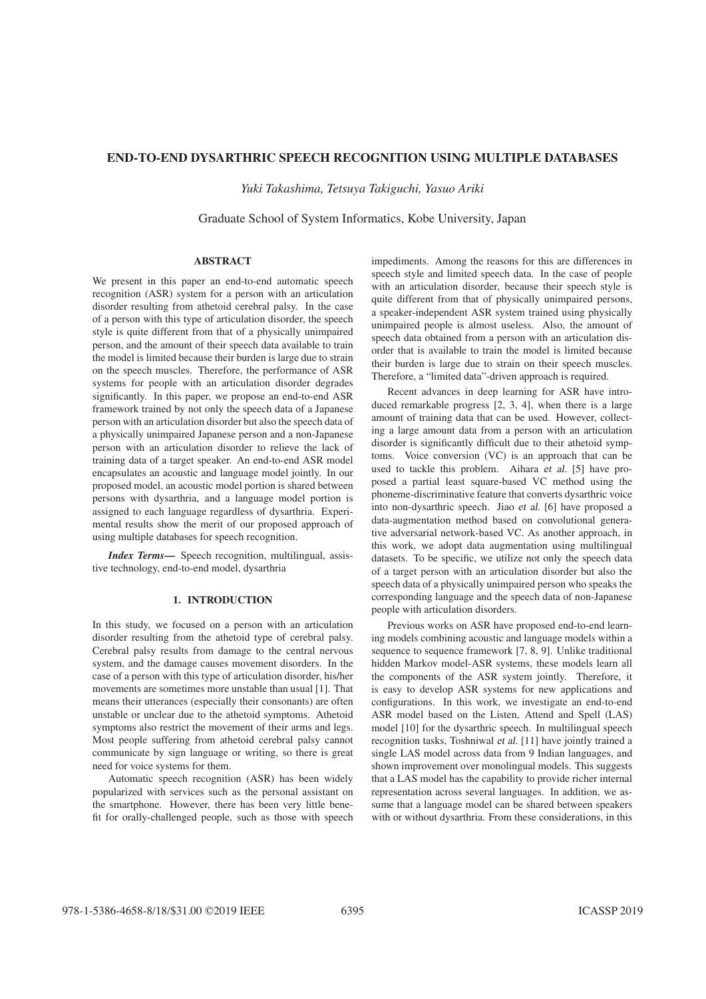# END-TO-END DYSARTHRIC SPEECH RECOGNITION USING MULTIPLE DATABASES

*Yuki Takashima, Tetsuya Takiguchi, Yasuo Ariki*

Graduate School of System Informatics, Kobe University, Japan

### ABSTRACT

We present in this paper an end-to-end automatic speech recognition (ASR) system for a person with an articulation disorder resulting from athetoid cerebral palsy. In the case of a person with this type of articulation disorder, the speech style is quite different from that of a physically unimpaired person, and the amount of their speech data available to train the model is limited because their burden is large due to strain on the speech muscles. Therefore, the performance of ASR systems for people with an articulation disorder degrades significantly. In this paper, we propose an end-to-end ASR framework trained by not only the speech data of a Japanese person with an articulation disorder but also the speech data of a physically unimpaired Japanese person and a non-Japanese person with an articulation disorder to relieve the lack of training data of a target speaker. An end-to-end ASR model encapsulates an acoustic and language model jointly. In our proposed model, an acoustic model portion is shared between persons with dysarthria, and a language model portion is assigned to each language regardless of dysarthria. Experimental results show the merit of our proposed approach of using multiple databases for speech recognition.

*Index Terms*— Speech recognition, multilingual, assistive technology, end-to-end model, dysarthria

# 1. INTRODUCTION

In this study, we focused on a person with an articulation disorder resulting from the athetoid type of cerebral palsy. Cerebral palsy results from damage to the central nervous system, and the damage causes movement disorders. In the case of a person with this type of articulation disorder, his/her movements are sometimes more unstable than usual [1]. That means their utterances (especially their consonants) are often unstable or unclear due to the athetoid symptoms. Athetoid symptoms also restrict the movement of their arms and legs. Most people suffering from athetoid cerebral palsy cannot communicate by sign language or writing, so there is great need for voice systems for them.

Automatic speech recognition (ASR) has been widely popularized with services such as the personal assistant on the smartphone. However, there has been very little benefit for orally-challenged people, such as those with speech

impediments. Among the reasons for this are differences in speech style and limited speech data. In the case of people with an articulation disorder, because their speech style is quite different from that of physically unimpaired persons, a speaker-independent ASR system trained using physically unimpaired people is almost useless. Also, the amount of speech data obtained from a person with an articulation disorder that is available to train the model is limited because their burden is large due to strain on their speech muscles. Therefore, a "limited data"-driven approach is required.

Recent advances in deep learning for ASR have introduced remarkable progress [2, 3, 4], when there is a large amount of training data that can be used. However, collecting a large amount data from a person with an articulation disorder is significantly difficult due to their athetoid symptoms. Voice conversion (VC) is an approach that can be used to tackle this problem. Aihara et al. [5] have proposed a partial least square-based VC method using the phoneme-discriminative feature that converts dysarthric voice into non-dysarthric speech. Jiao et al. [6] have proposed a data-augmentation method based on convolutional generative adversarial network-based VC. As another approach, in this work, we adopt data augmentation using multilingual datasets. To be specific, we utilize not only the speech data of a target person with an articulation disorder but also the speech data of a physically unimpaired person who speaks the corresponding language and the speech data of non-Japanese people with articulation disorders.

Previous works on ASR have proposed end-to-end learning models combining acoustic and language models within a sequence to sequence framework [7, 8, 9]. Unlike traditional hidden Markov model-ASR systems, these models learn all the components of the ASR system jointly. Therefore, it is easy to develop ASR systems for new applications and configurations. In this work, we investigate an end-to-end ASR model based on the Listen, Attend and Spell (LAS) model [10] for the dysarthric speech. In multilingual speech recognition tasks, Toshniwal et al. [11] have jointly trained a single LAS model across data from 9 Indian languages, and shown improvement over monolingual models. This suggests that a LAS model has the capability to provide richer internal representation across several languages. In addition, we assume that a language model can be shared between speakers with or without dysarthria. From these considerations, in this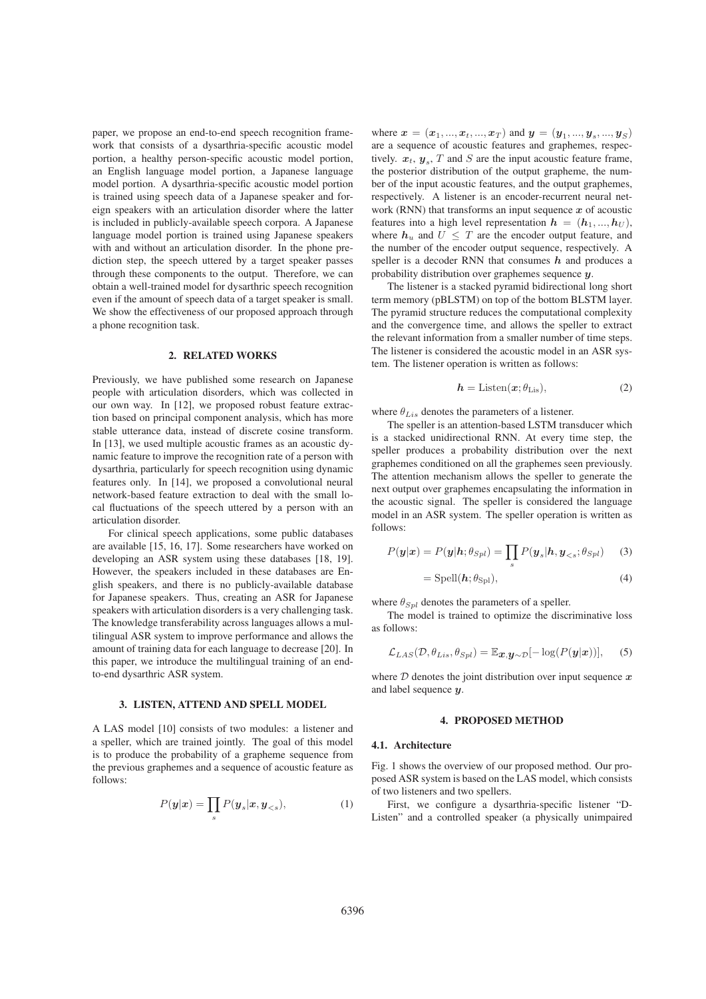paper, we propose an end-to-end speech recognition framework that consists of a dysarthria-specific acoustic model portion, a healthy person-specific acoustic model portion, an English language model portion, a Japanese language model portion. A dysarthria-specific acoustic model portion is trained using speech data of a Japanese speaker and foreign speakers with an articulation disorder where the latter is included in publicly-available speech corpora. A Japanese language model portion is trained using Japanese speakers with and without an articulation disorder. In the phone prediction step, the speech uttered by a target speaker passes through these components to the output. Therefore, we can obtain a well-trained model for dysarthric speech recognition even if the amount of speech data of a target speaker is small. We show the effectiveness of our proposed approach through a phone recognition task.

# 2. RELATED WORKS

Previously, we have published some research on Japanese people with articulation disorders, which was collected in our own way. In [12], we proposed robust feature extraction based on principal component analysis, which has more stable utterance data, instead of discrete cosine transform. In [13], we used multiple acoustic frames as an acoustic dynamic feature to improve the recognition rate of a person with dysarthria, particularly for speech recognition using dynamic features only. In [14], we proposed a convolutional neural network-based feature extraction to deal with the small local fluctuations of the speech uttered by a person with an articulation disorder.

For clinical speech applications, some public databases are available [15, 16, 17]. Some researchers have worked on developing an ASR system using these databases [18, 19]. However, the speakers included in these databases are English speakers, and there is no publicly-available database for Japanese speakers. Thus, creating an ASR for Japanese speakers with articulation disorders is a very challenging task. The knowledge transferability across languages allows a multilingual ASR system to improve performance and allows the amount of training data for each language to decrease [20]. In this paper, we introduce the multilingual training of an endto-end dysarthric ASR system.

#### 3. LISTEN, ATTEND AND SPELL MODEL

A LAS model [10] consists of two modules: a listener and a speller, which are trained jointly. The goal of this model is to produce the probability of a grapheme sequence from the previous graphemes and a sequence of acoustic feature as follows:

$$
P(\mathbf{y}|\mathbf{x}) = \prod_{s} P(\mathbf{y}_s|\mathbf{x}, \mathbf{y}_{< s}), \tag{1}
$$

where  $x = (x_1, ..., x_t, ..., x_T)$  and  $y = (y_1, ..., y_s, ..., y_S)$ are a sequence of acoustic features and graphemes, respectively.  $x_t$ ,  $y_s$ ,  $T$  and  $S$  are the input acoustic feature frame, the posterior distribution of the output grapheme, the number of the input acoustic features, and the output graphemes, respectively. A listener is an encoder-recurrent neural network (RNN) that transforms an input sequence *x* of acoustic features into a high level representation  $h = (h_1, ..., h_U)$ , where  $h_u$  and  $U \leq T$  are the encoder output feature, and the number of the encoder output sequence, respectively. A speller is a decoder RNN that consumes *h* and produces a probability distribution over graphemes sequence *y*.

The listener is a stacked pyramid bidirectional long short term memory (pBLSTM) on top of the bottom BLSTM layer. The pyramid structure reduces the computational complexity and the convergence time, and allows the speller to extract the relevant information from a smaller number of time steps. The listener is considered the acoustic model in an ASR system. The listener operation is written as follows:

$$
\boldsymbol{h} = \text{Listen}(\boldsymbol{x}; \theta_{\text{Lis}}), \tag{2}
$$

where  $\theta_{Lis}$  denotes the parameters of a listener.

The speller is an attention-based LSTM transducer which is a stacked unidirectional RNN. At every time step, the speller produces a probability distribution over the next graphemes conditioned on all the graphemes seen previously. The attention mechanism allows the speller to generate the next output over graphemes encapsulating the information in the acoustic signal. The speller is considered the language model in an ASR system. The speller operation is written as follows:

$$
P(\mathbf{y}|\mathbf{x}) = P(\mathbf{y}|\mathbf{h}; \theta_{Spl}) = \prod_s P(\mathbf{y}_s|\mathbf{h}, \mathbf{y}_{< s}; \theta_{Spl}) \tag{3}
$$

$$
= Spell(\boldsymbol{h};\theta_{Spl}),\tag{4}
$$

where  $\theta_{Spl}$  denotes the parameters of a speller.

The model is trained to optimize the discriminative loss as follows:

$$
\mathcal{L}_{LAS}(\mathcal{D}, \theta_{Lis}, \theta_{Spl}) = \mathbb{E}_{\boldsymbol{x}, \boldsymbol{y} \sim \mathcal{D}}[-\log(P(\boldsymbol{y}|\boldsymbol{x}))], \quad (5)
$$

where D denotes the joint distribution over input sequence *x* and label sequence *y*.

## 4. PROPOSED METHOD

### 4.1. Architecture

Fig. 1 shows the overview of our proposed method. Our proposed ASR system is based on the LAS model, which consists of two listeners and two spellers.

First, we configure a dysarthria-specific listener "D-Listen" and a controlled speaker (a physically unimpaired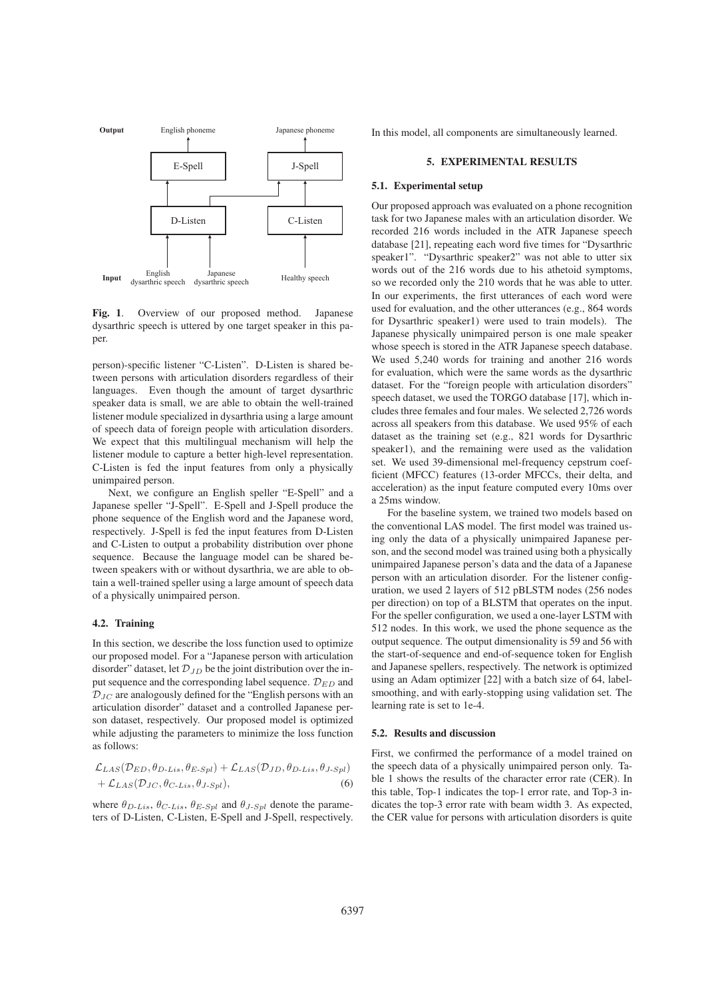

Fig. 1. Overview of our proposed method. Japanese dysarthric speech is uttered by one target speaker in this paper.

person)-specific listener "C-Listen". D-Listen is shared between persons with articulation disorders regardless of their languages. Even though the amount of target dysarthric speaker data is small, we are able to obtain the well-trained listener module specialized in dysarthria using a large amount of speech data of foreign people with articulation disorders. We expect that this multilingual mechanism will help the listener module to capture a better high-level representation. C-Listen is fed the input features from only a physically unimpaired person.

Next, we configure an English speller "E-Spell" and a Japanese speller "J-Spell". E-Spell and J-Spell produce the phone sequence of the English word and the Japanese word, respectively. J-Spell is fed the input features from D-Listen and C-Listen to output a probability distribution over phone sequence. Because the language model can be shared between speakers with or without dysarthria, we are able to obtain a well-trained speller using a large amount of speech data of a physically unimpaired person.

# 4.2. Training

In this section, we describe the loss function used to optimize our proposed model. For a "Japanese person with articulation disorder" dataset, let  $\mathcal{D}_{JD}$  be the joint distribution over the input sequence and the corresponding label sequence.  $\mathcal{D}_{ED}$  and  $\mathcal{D}_{JC}$  are analogously defined for the "English persons with an articulation disorder" dataset and a controlled Japanese person dataset, respectively. Our proposed model is optimized while adjusting the parameters to minimize the loss function as follows:

$$
\mathcal{L}_{LAS}(\mathcal{D}_{ED}, \theta_{D-Lis}, \theta_{E-Spl}) + \mathcal{L}_{LAS}(\mathcal{D}_{JD}, \theta_{D-Lis}, \theta_{J-Spl}) + \mathcal{L}_{LAS}(\mathcal{D}_{JC}, \theta_{C-Lis}, \theta_{J-Spl}),
$$
(6)

where  $\theta_{D-Lis}$ ,  $\theta_{C-Lis}$ ,  $\theta_{E-Spl}$  and  $\theta_{J-Spl}$  denote the parameters of D-Listen, C-Listen, E-Spell and J-Spell, respectively. In this model, all components are simultaneously learned.

### 5. EXPERIMENTAL RESULTS

#### 5.1. Experimental setup

Our proposed approach was evaluated on a phone recognition task for two Japanese males with an articulation disorder. We recorded 216 words included in the ATR Japanese speech database [21], repeating each word five times for "Dysarthric speaker1". "Dysarthric speaker2" was not able to utter six words out of the 216 words due to his athetoid symptoms, so we recorded only the 210 words that he was able to utter. In our experiments, the first utterances of each word were used for evaluation, and the other utterances (e.g., 864 words for Dysarthric speaker1) were used to train models). The Japanese physically unimpaired person is one male speaker whose speech is stored in the ATR Japanese speech database. We used 5,240 words for training and another 216 words for evaluation, which were the same words as the dysarthric dataset. For the "foreign people with articulation disorders" speech dataset, we used the TORGO database [17], which includes three females and four males. We selected 2,726 words across all speakers from this database. We used 95% of each dataset as the training set (e.g., 821 words for Dysarthric speaker1), and the remaining were used as the validation set. We used 39-dimensional mel-frequency cepstrum coefficient (MFCC) features (13-order MFCCs, their delta, and acceleration) as the input feature computed every 10ms over a 25ms window.

For the baseline system, we trained two models based on the conventional LAS model. The first model was trained using only the data of a physically unimpaired Japanese person, and the second model was trained using both a physically unimpaired Japanese person's data and the data of a Japanese person with an articulation disorder. For the listener configuration, we used 2 layers of 512 pBLSTM nodes (256 nodes per direction) on top of a BLSTM that operates on the input. For the speller configuration, we used a one-layer LSTM with 512 nodes. In this work, we used the phone sequence as the output sequence. The output dimensionality is 59 and 56 with the start-of-sequence and end-of-sequence token for English and Japanese spellers, respectively. The network is optimized using an Adam optimizer [22] with a batch size of 64, labelsmoothing, and with early-stopping using validation set. The learning rate is set to 1e-4.

## 5.2. Results and discussion

First, we confirmed the performance of a model trained on the speech data of a physically unimpaired person only. Table 1 shows the results of the character error rate (CER). In this table, Top-1 indicates the top-1 error rate, and Top-3 indicates the top-3 error rate with beam width 3. As expected, the CER value for persons with articulation disorders is quite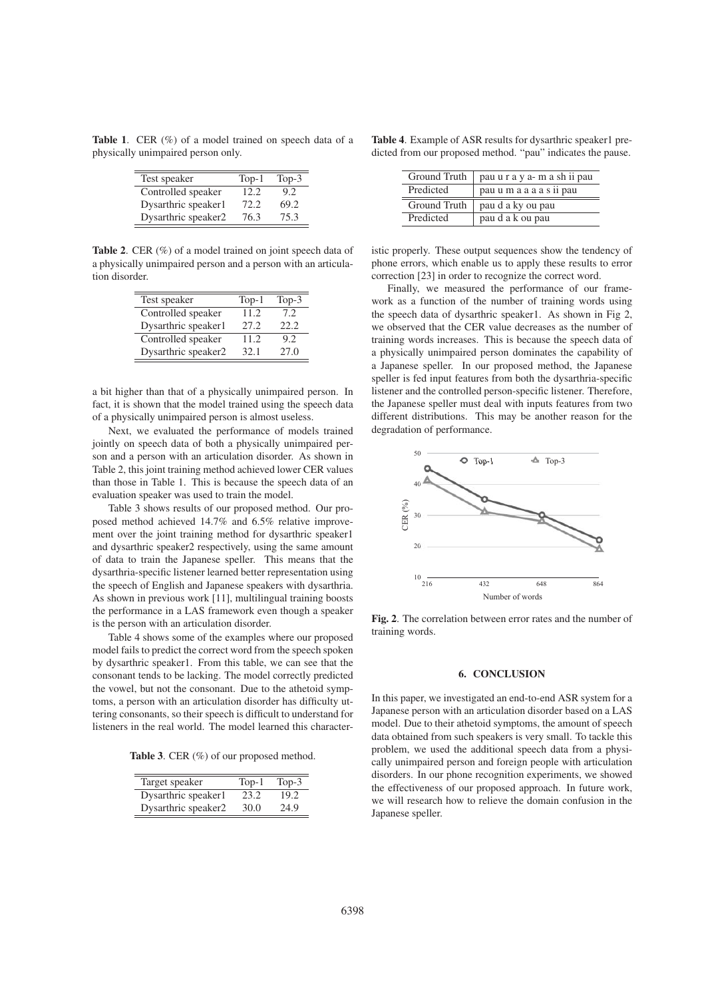**Table 1.** CER  $(\%)$  of a model trained on speech data of a physically unimpaired person only.

| Test speaker        | $Top-1$ | $Top-3$ |
|---------------------|---------|---------|
| Controlled speaker  | 12.2.   | 9.2     |
| Dysarthric speaker1 | 72.2    | 69.2    |
| Dysarthric speaker2 | 76.3    | 75.3    |

Table 2. CER (%) of a model trained on joint speech data of a physically unimpaired person and a person with an articulation disorder.

| Test speaker        | $Top-1$ | $Top-3$ |
|---------------------|---------|---------|
| Controlled speaker  | 11.2.   | 7.2     |
| Dysarthric speaker1 | 27.2    | 22.2    |
| Controlled speaker  | 11.2.   | 9.2     |
| Dysarthric speaker2 | 32.1    | 27.0    |

a bit higher than that of a physically unimpaired person. In fact, it is shown that the model trained using the speech data of a physically unimpaired person is almost useless.

Next, we evaluated the performance of models trained jointly on speech data of both a physically unimpaired person and a person with an articulation disorder. As shown in Table 2, this joint training method achieved lower CER values than those in Table 1. This is because the speech data of an evaluation speaker was used to train the model.

Table 3 shows results of our proposed method. Our proposed method achieved 14.7% and 6.5% relative improvement over the joint training method for dysarthric speaker1 and dysarthric speaker2 respectively, using the same amount of data to train the Japanese speller. This means that the dysarthria-specific listener learned better representation using the speech of English and Japanese speakers with dysarthria. As shown in previous work [11], multilingual training boosts the performance in a LAS framework even though a speaker is the person with an articulation disorder.

Table 4 shows some of the examples where our proposed model fails to predict the correct word from the speech spoken by dysarthric speaker1. From this table, we can see that the consonant tends to be lacking. The model correctly predicted the vowel, but not the consonant. Due to the athetoid symptoms, a person with an articulation disorder has difficulty uttering consonants, so their speech is difficult to understand for listeners in the real world. The model learned this character-

Table 3. CER (%) of our proposed method.

| Target speaker      | $Top-1$ | $Top-3$ |
|---------------------|---------|---------|
| Dysarthric speaker1 | 23.2    | 19.2    |
| Dysarthric speaker2 | 30.0    | 24.9    |
|                     |         |         |

Table 4. Example of ASR results for dysarthric speaker1 predicted from our proposed method. "pau" indicates the pause.

| Ground Truth        | pau u r a y a- m a sh ii pau |
|---------------------|------------------------------|
| Predicted           | pau u m a a a a s ii pau     |
| <b>Ground Truth</b> | pau d a ky ou pau            |
| Predicted           | pau d a k ou pau             |

istic properly. These output sequences show the tendency of phone errors, which enable us to apply these results to error correction [23] in order to recognize the correct word.

Finally, we measured the performance of our framework as a function of the number of training words using the speech data of dysarthric speaker1. As shown in Fig 2, we observed that the CER value decreases as the number of training words increases. This is because the speech data of a physically unimpaired person dominates the capability of a Japanese speller. In our proposed method, the Japanese speller is fed input features from both the dysarthria-specific listener and the controlled person-specific listener. Therefore, the Japanese speller must deal with inputs features from two different distributions. This may be another reason for the degradation of performance.



Fig. 2. The correlation between error rates and the number of training words.

## 6. CONCLUSION

In this paper, we investigated an end-to-end ASR system for a Japanese person with an articulation disorder based on a LAS model. Due to their athetoid symptoms, the amount of speech data obtained from such speakers is very small. To tackle this problem, we used the additional speech data from a physically unimpaired person and foreign people with articulation disorders. In our phone recognition experiments, we showed the effectiveness of our proposed approach. In future work, we will research how to relieve the domain confusion in the Japanese speller.